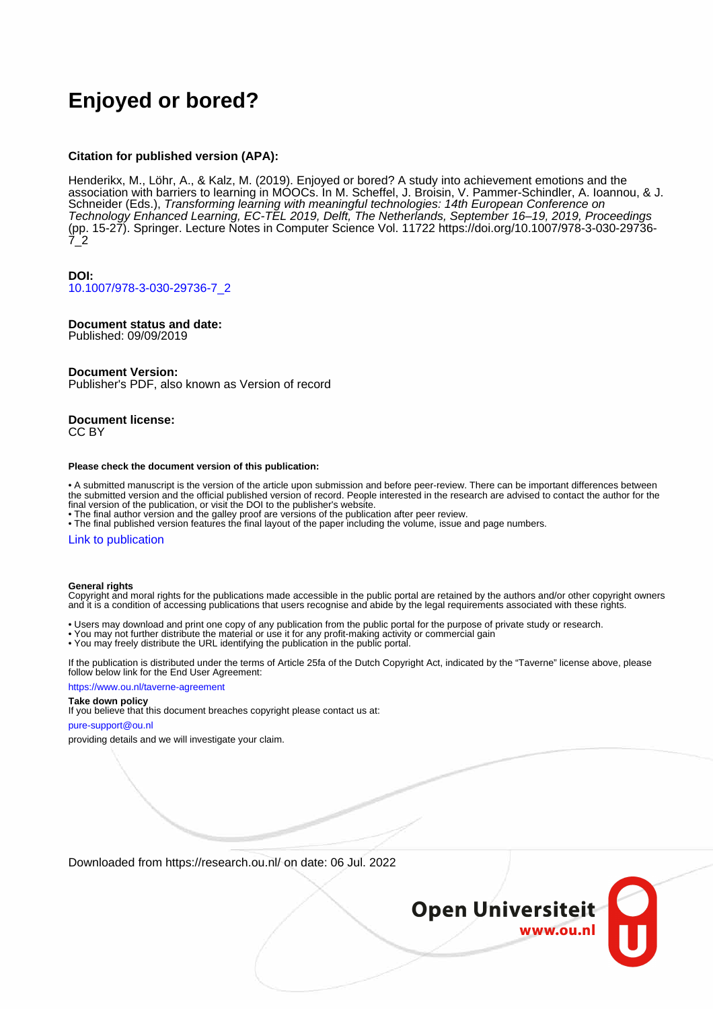# **Enjoyed or bored?**

#### **Citation for published version (APA):**

Henderikx, M., Löhr, A., & Kalz, M. (2019). Enjoyed or bored? A study into achievement emotions and the association with barriers to learning in MOOCs. In M. Scheffel, J. Broisin, V. Pammer-Schindler, A. Ioannou, & J. Schneider (Eds.), Transforming learning with meaningful technologies: 14th European Conference on Technology Enhanced Learning, EC-TEL 2019, Delft, The Netherlands, September 16–19, 2019, Proceedings (pp. 15-27). Springer. Lecture Notes in Computer Science Vol. 11722 [https://doi.org/10.1007/978-3-030-29736-](https://doi.org/10.1007/978-3-030-29736-7_2) [7\\_2](https://doi.org/10.1007/978-3-030-29736-7_2)

## **DOI:**

[10.1007/978-3-030-29736-7\\_2](https://doi.org/10.1007/978-3-030-29736-7_2)

## **Document status and date:**

Published: 09/09/2019

#### **Document Version:**

Publisher's PDF, also known as Version of record

#### **Document license:** CC BY

#### **Please check the document version of this publication:**

• A submitted manuscript is the version of the article upon submission and before peer-review. There can be important differences between the submitted version and the official published version of record. People interested in the research are advised to contact the author for the final version of the publication, or visit the DOI to the publisher's website.

• The final author version and the galley proof are versions of the publication after peer review.

• The final published version features the final layout of the paper including the volume, issue and page numbers.

#### [Link to publication](https://research.ou.nl/en/publications/5d37b5ac-3e76-48d9-844f-828a62127df4)

#### **General rights**

Copyright and moral rights for the publications made accessible in the public portal are retained by the authors and/or other copyright owners and it is a condition of accessing publications that users recognise and abide by the legal requirements associated with these rights.

- Users may download and print one copy of any publication from the public portal for the purpose of private study or research.
- You may not further distribute the material or use it for any profit-making activity or commercial gain
- You may freely distribute the URL identifying the publication in the public portal.

If the publication is distributed under the terms of Article 25fa of the Dutch Copyright Act, indicated by the "Taverne" license above, please follow below link for the End User Agreement:

#### https://www.ou.nl/taverne-agreement

## **Take down policy**

If you believe that this document breaches copyright please contact us at:

#### pure-support@ou.nl

providing details and we will investigate your claim.

Downloaded from https://research.ou.nl/ on date: 06 Jul. 2022

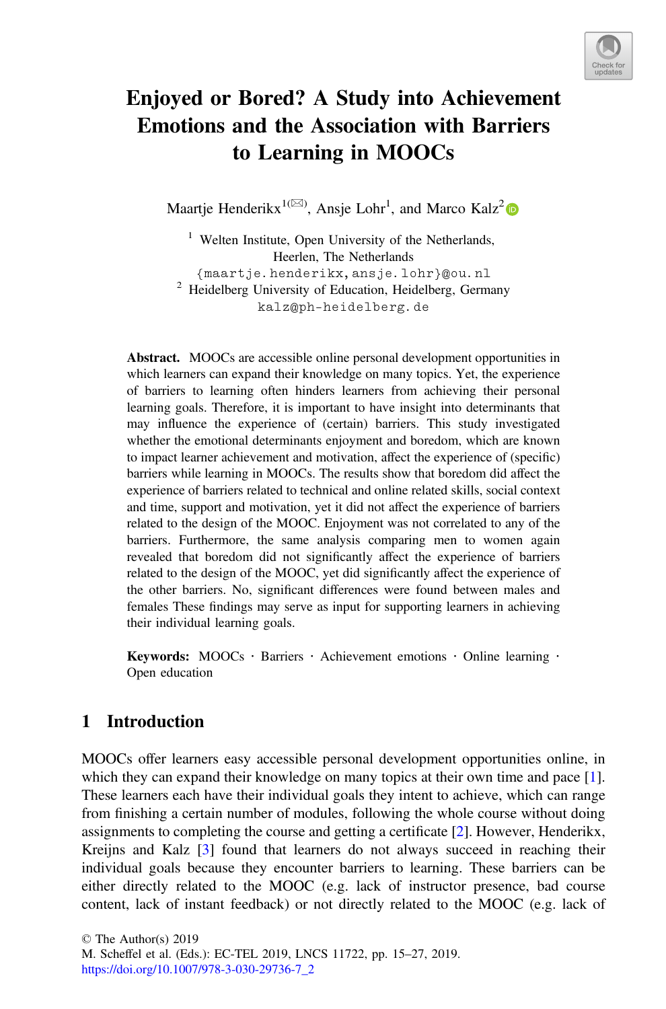

## Enjoyed or Bored? A Study into Achievement Emotions and the Association with Barriers to Learning in MOOCs

Maartje Henderikx $^{1(\boxtimes)}$ , Ansje Lohr<sup>1</sup>, and Marco Kalz<sup>2</sup>

<sup>1</sup> Welten Institute, Open University of the Netherlands, Heerlen, The Netherlands {maartje.henderikx,ansje.lohr}@ou.nl <sup>2</sup> Heidelberg University of Education, Heidelberg, Germany kalz@ph-heidelberg.de

Abstract. MOOCs are accessible online personal development opportunities in which learners can expand their knowledge on many topics. Yet, the experience of barriers to learning often hinders learners from achieving their personal learning goals. Therefore, it is important to have insight into determinants that may influence the experience of (certain) barriers. This study investigated whether the emotional determinants enjoyment and boredom, which are known to impact learner achievement and motivation, affect the experience of (specific) barriers while learning in MOOCs. The results show that boredom did affect the experience of barriers related to technical and online related skills, social context and time, support and motivation, yet it did not affect the experience of barriers related to the design of the MOOC. Enjoyment was not correlated to any of the barriers. Furthermore, the same analysis comparing men to women again revealed that boredom did not significantly affect the experience of barriers related to the design of the MOOC, yet did significantly affect the experience of the other barriers. No, significant differences were found between males and females These findings may serve as input for supporting learners in achieving their individual learning goals.

**Keywords:** MOOCs  $\cdot$  Barriers  $\cdot$  Achievement emotions  $\cdot$  Online learning  $\cdot$  Open education

## 1 Introduction

MOOCs offer learners easy accessible personal development opportunities online, in which they can expand their knowledge on many topics at their own time and pace [1]. These learners each have their individual goals they intent to achieve, which can range from finishing a certain number of modules, following the whole course without doing assignments to completing the course and getting a certificate [2]. However, Henderikx, Kreijns and Kalz [3] found that learners do not always succeed in reaching their individual goals because they encounter barriers to learning. These barriers can be either directly related to the MOOC (e.g. lack of instructor presence, bad course content, lack of instant feedback) or not directly related to the MOOC (e.g. lack of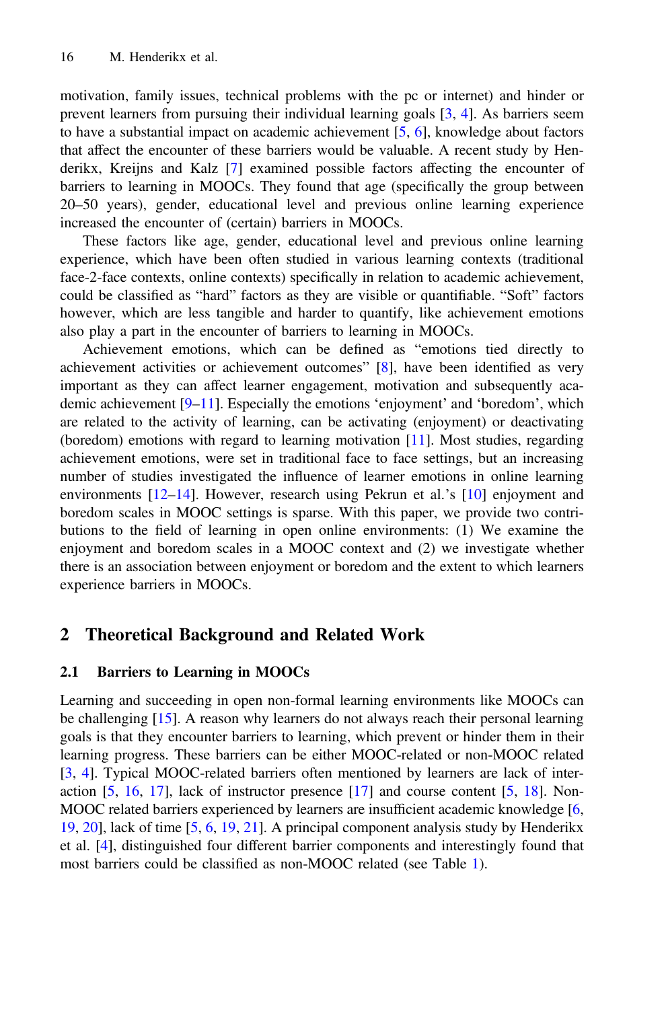motivation, family issues, technical problems with the pc or internet) and hinder or prevent learners from pursuing their individual learning goals [3, 4]. As barriers seem to have a substantial impact on academic achievement [5, 6], knowledge about factors that affect the encounter of these barriers would be valuable. A recent study by Henderikx, Kreijns and Kalz [7] examined possible factors affecting the encounter of barriers to learning in MOOCs. They found that age (specifically the group between 20–50 years), gender, educational level and previous online learning experience increased the encounter of (certain) barriers in MOOCs.

These factors like age, gender, educational level and previous online learning experience, which have been often studied in various learning contexts (traditional face-2-face contexts, online contexts) specifically in relation to academic achievement, could be classified as "hard" factors as they are visible or quantifiable. "Soft" factors however, which are less tangible and harder to quantify, like achievement emotions also play a part in the encounter of barriers to learning in MOOCs.

Achievement emotions, which can be defined as "emotions tied directly to achievement activities or achievement outcomes" [8], have been identified as very important as they can affect learner engagement, motivation and subsequently academic achievement [9–11]. Especially the emotions 'enjoyment' and 'boredom', which are related to the activity of learning, can be activating (enjoyment) or deactivating (boredom) emotions with regard to learning motivation [11]. Most studies, regarding achievement emotions, were set in traditional face to face settings, but an increasing number of studies investigated the influence of learner emotions in online learning environments [12–14]. However, research using Pekrun et al.'s [10] enjoyment and boredom scales in MOOC settings is sparse. With this paper, we provide two contributions to the field of learning in open online environments: (1) We examine the enjoyment and boredom scales in a MOOC context and (2) we investigate whether there is an association between enjoyment or boredom and the extent to which learners experience barriers in MOOCs.

## 2 Theoretical Background and Related Work

## 2.1 Barriers to Learning in MOOCs

Learning and succeeding in open non-formal learning environments like MOOCs can be challenging [15]. A reason why learners do not always reach their personal learning goals is that they encounter barriers to learning, which prevent or hinder them in their learning progress. These barriers can be either MOOC-related or non-MOOC related [3, 4]. Typical MOOC-related barriers often mentioned by learners are lack of interaction [5, 16, 17], lack of instructor presence [17] and course content [5, 18]. Non-MOOC related barriers experienced by learners are insufficient academic knowledge [6, 19, 20], lack of time [5, 6, 19, 21]. A principal component analysis study by Henderikx et al. [4], distinguished four different barrier components and interestingly found that most barriers could be classified as non-MOOC related (see Table 1).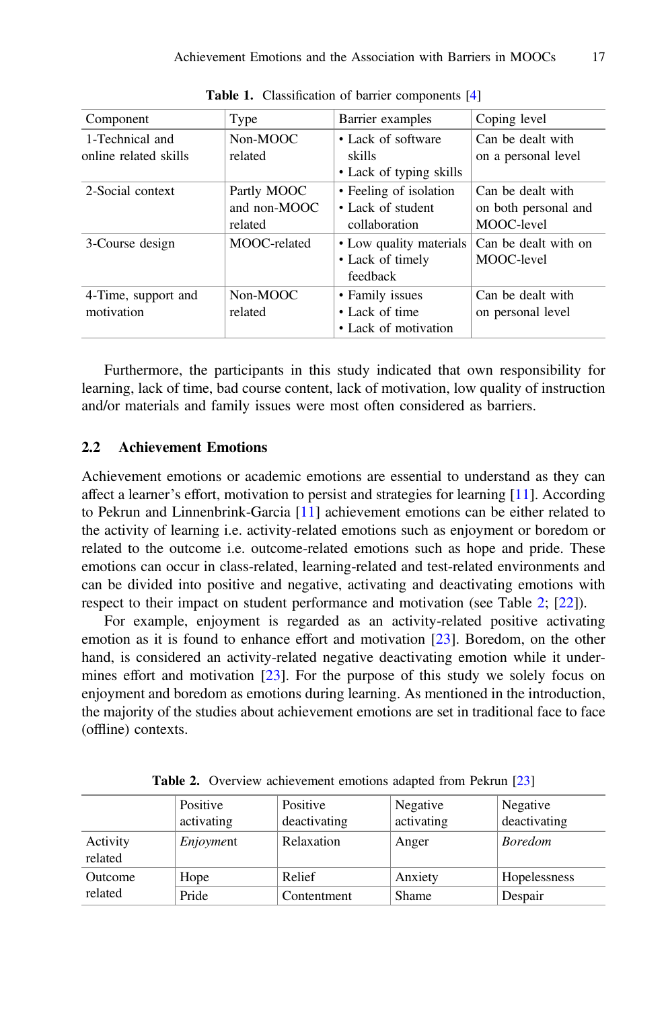| Component                                | Type                                   | Barrier examples                                             | Coping level                                            |
|------------------------------------------|----------------------------------------|--------------------------------------------------------------|---------------------------------------------------------|
| 1-Technical and<br>online related skills | Non-MOOC<br>related                    | • Lack of software<br>skills<br>• Lack of typing skills      | Can be dealt with<br>on a personal level                |
| 2-Social context                         | Partly MOOC<br>and non-MOOC<br>related | • Feeling of isolation<br>• Lack of student<br>collaboration | Can be dealt with<br>on both personal and<br>MOOC-level |
| 3-Course design                          | MOOC-related                           | • Low quality materials<br>• Lack of timely<br>feedback      | Can be dealt with on<br>MOOC-level                      |
| 4-Time, support and<br>motivation        | Non-MOOC<br>related                    | • Family issues<br>• Lack of time<br>• Lack of motivation    | Can be dealt with<br>on personal level                  |

Table 1. Classification of barrier components [4]

Furthermore, the participants in this study indicated that own responsibility for learning, lack of time, bad course content, lack of motivation, low quality of instruction and/or materials and family issues were most often considered as barriers.

#### 2.2 Achievement Emotions

Achievement emotions or academic emotions are essential to understand as they can affect a learner's effort, motivation to persist and strategies for learning [11]. According to Pekrun and Linnenbrink-Garcia [11] achievement emotions can be either related to the activity of learning i.e. activity-related emotions such as enjoyment or boredom or related to the outcome i.e. outcome-related emotions such as hope and pride. These emotions can occur in class-related, learning-related and test-related environments and can be divided into positive and negative, activating and deactivating emotions with respect to their impact on student performance and motivation (see Table 2; [22]).

For example, enjoyment is regarded as an activity-related positive activating emotion as it is found to enhance effort and motivation [23]. Boredom, on the other hand, is considered an activity-related negative deactivating emotion while it undermines effort and motivation [23]. For the purpose of this study we solely focus on enjoyment and boredom as emotions during learning. As mentioned in the introduction, the majority of the studies about achievement emotions are set in traditional face to face (offline) contexts.

|                     | Positive<br>activating | Positive<br>deactivating | Negative<br>activating | Negative<br>deactivating |
|---------------------|------------------------|--------------------------|------------------------|--------------------------|
| Activity<br>related | Enjoyment              | Relaxation               | Anger                  | <b>Boredom</b>           |
| Outcome             | Hope                   | Relief                   | Anxiety                | Hopelessness             |
| related             | Pride                  | Contentment              | <b>Shame</b>           | Despair                  |

Table 2. Overview achievement emotions adapted from Pekrun [23]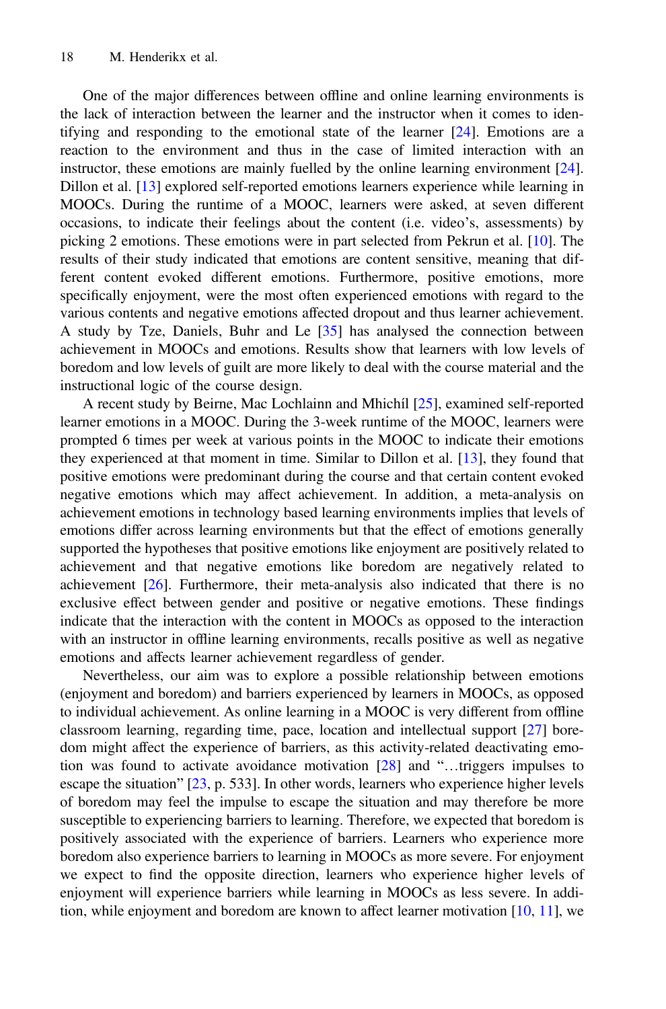One of the major differences between offline and online learning environments is the lack of interaction between the learner and the instructor when it comes to identifying and responding to the emotional state of the learner [24]. Emotions are a reaction to the environment and thus in the case of limited interaction with an instructor, these emotions are mainly fuelled by the online learning environment [24]. Dillon et al. [13] explored self-reported emotions learners experience while learning in MOOCs. During the runtime of a MOOC, learners were asked, at seven different occasions, to indicate their feelings about the content (i.e. video's, assessments) by picking 2 emotions. These emotions were in part selected from Pekrun et al. [10]. The results of their study indicated that emotions are content sensitive, meaning that different content evoked different emotions. Furthermore, positive emotions, more specifically enjoyment, were the most often experienced emotions with regard to the various contents and negative emotions affected dropout and thus learner achievement. A study by Tze, Daniels, Buhr and Le [35] has analysed the connection between achievement in MOOCs and emotions. Results show that learners with low levels of boredom and low levels of guilt are more likely to deal with the course material and the instructional logic of the course design.

A recent study by Beirne, Mac Lochlainn and Mhichíl [25], examined self-reported learner emotions in a MOOC. During the 3-week runtime of the MOOC, learners were prompted 6 times per week at various points in the MOOC to indicate their emotions they experienced at that moment in time. Similar to Dillon et al. [13], they found that positive emotions were predominant during the course and that certain content evoked negative emotions which may affect achievement. In addition, a meta-analysis on achievement emotions in technology based learning environments implies that levels of emotions differ across learning environments but that the effect of emotions generally supported the hypotheses that positive emotions like enjoyment are positively related to achievement and that negative emotions like boredom are negatively related to achievement [26]. Furthermore, their meta-analysis also indicated that there is no exclusive effect between gender and positive or negative emotions. These findings indicate that the interaction with the content in MOOCs as opposed to the interaction with an instructor in offline learning environments, recalls positive as well as negative emotions and affects learner achievement regardless of gender.

Nevertheless, our aim was to explore a possible relationship between emotions (enjoyment and boredom) and barriers experienced by learners in MOOCs, as opposed to individual achievement. As online learning in a MOOC is very different from offline classroom learning, regarding time, pace, location and intellectual support [27] boredom might affect the experience of barriers, as this activity-related deactivating emotion was found to activate avoidance motivation [28] and "…triggers impulses to escape the situation" [23, p. 533]. In other words, learners who experience higher levels of boredom may feel the impulse to escape the situation and may therefore be more susceptible to experiencing barriers to learning. Therefore, we expected that boredom is positively associated with the experience of barriers. Learners who experience more boredom also experience barriers to learning in MOOCs as more severe. For enjoyment we expect to find the opposite direction, learners who experience higher levels of enjoyment will experience barriers while learning in MOOCs as less severe. In addition, while enjoyment and boredom are known to affect learner motivation [10, 11], we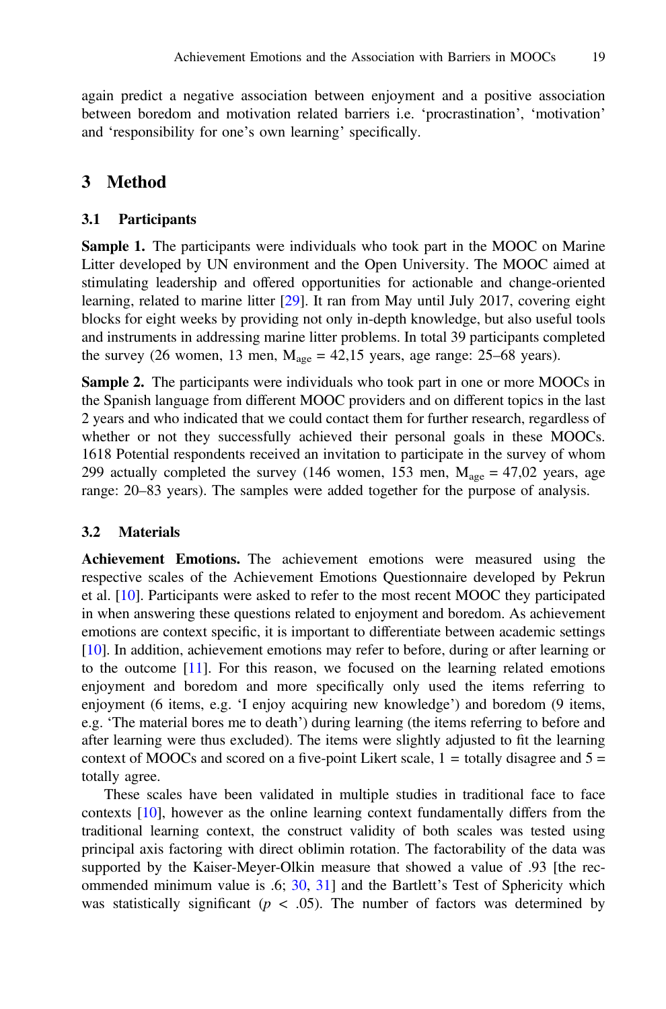again predict a negative association between enjoyment and a positive association between boredom and motivation related barriers i.e. 'procrastination', 'motivation' and 'responsibility for one's own learning' specifically.

## 3 Method

#### 3.1 Participants

Sample 1. The participants were individuals who took part in the MOOC on Marine Litter developed by UN environment and the Open University. The MOOC aimed at stimulating leadership and offered opportunities for actionable and change-oriented learning, related to marine litter [29]. It ran from May until July 2017, covering eight blocks for eight weeks by providing not only in-depth knowledge, but also useful tools and instruments in addressing marine litter problems. In total 39 participants completed the survey (26 women, 13 men,  $M_{\text{age}} = 42,15$  years, age range: 25–68 years).

Sample 2. The participants were individuals who took part in one or more MOOCs in the Spanish language from different MOOC providers and on different topics in the last 2 years and who indicated that we could contact them for further research, regardless of whether or not they successfully achieved their personal goals in these MOOCs. 1618 Potential respondents received an invitation to participate in the survey of whom 299 actually completed the survey (146 women, 153 men,  $M_{\text{age}} = 47,02$  years, age range: 20–83 years). The samples were added together for the purpose of analysis.

#### 3.2 Materials

Achievement Emotions. The achievement emotions were measured using the respective scales of the Achievement Emotions Questionnaire developed by Pekrun et al. [10]. Participants were asked to refer to the most recent MOOC they participated in when answering these questions related to enjoyment and boredom. As achievement emotions are context specific, it is important to differentiate between academic settings [10]. In addition, achievement emotions may refer to before, during or after learning or to the outcome  $[11]$ . For this reason, we focused on the learning related emotions enjoyment and boredom and more specifically only used the items referring to enjoyment (6 items, e.g. 'I enjoy acquiring new knowledge') and boredom (9 items, e.g. 'The material bores me to death') during learning (the items referring to before and after learning were thus excluded). The items were slightly adjusted to fit the learning context of MOOCs and scored on a five-point Likert scale,  $1 =$  totally disagree and  $5 =$ totally agree.

These scales have been validated in multiple studies in traditional face to face contexts [10], however as the online learning context fundamentally differs from the traditional learning context, the construct validity of both scales was tested using principal axis factoring with direct oblimin rotation. The factorability of the data was supported by the Kaiser-Meyer-Olkin measure that showed a value of .93 [the recommended minimum value is .6; 30, 31] and the Bartlett's Test of Sphericity which was statistically significant ( $p < .05$ ). The number of factors was determined by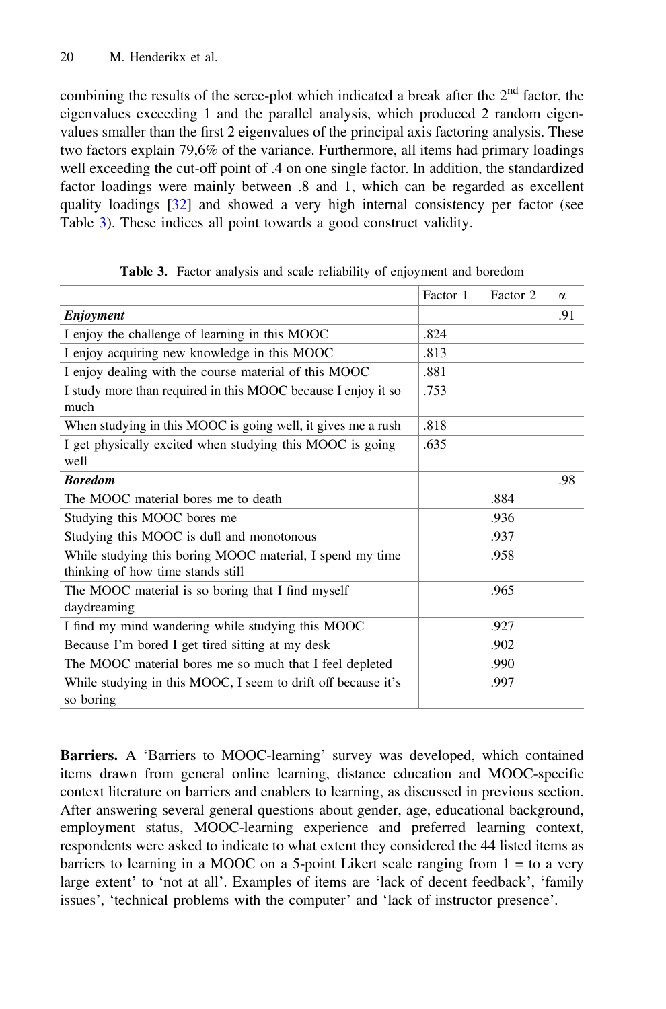combining the results of the scree-plot which indicated a break after the  $2<sup>nd</sup>$  factor, the eigenvalues exceeding 1 and the parallel analysis, which produced 2 random eigenvalues smaller than the first 2 eigenvalues of the principal axis factoring analysis. These two factors explain 79,6% of the variance. Furthermore, all items had primary loadings well exceeding the cut-off point of .4 on one single factor. In addition, the standardized factor loadings were mainly between .8 and 1, which can be regarded as excellent quality loadings [32] and showed a very high internal consistency per factor (see Table 3). These indices all point towards a good construct validity.

|                                                                                                | Factor 1 | Factor 2 | $\alpha$ |
|------------------------------------------------------------------------------------------------|----------|----------|----------|
| <b>Enjoyment</b>                                                                               |          |          | .91      |
| I enjoy the challenge of learning in this MOOC                                                 | .824     |          |          |
| I enjoy acquiring new knowledge in this MOOC                                                   | .813     |          |          |
| I enjoy dealing with the course material of this MOOC                                          | .881     |          |          |
| I study more than required in this MOOC because I enjoy it so<br>much                          | .753     |          |          |
| When studying in this MOOC is going well, it gives me a rush                                   | .818     |          |          |
| I get physically excited when studying this MOOC is going<br>well                              | .635     |          |          |
| <b>Boredom</b>                                                                                 |          |          | .98      |
| The MOOC material bores me to death                                                            |          | .884     |          |
| Studying this MOOC bores me                                                                    |          | .936     |          |
| Studying this MOOC is dull and monotonous                                                      |          | .937     |          |
| While studying this boring MOOC material, I spend my time<br>thinking of how time stands still |          | .958     |          |
| The MOOC material is so boring that I find myself<br>daydreaming                               |          | .965     |          |
| I find my mind wandering while studying this MOOC                                              |          | .927     |          |
| Because I'm bored I get tired sitting at my desk                                               |          | .902     |          |
| The MOOC material bores me so much that I feel depleted                                        |          | .990     |          |
| While studying in this MOOC, I seem to drift off because it's<br>so boring                     |          | .997     |          |

Table 3. Factor analysis and scale reliability of enjoyment and boredom

Barriers. A 'Barriers to MOOC-learning' survey was developed, which contained items drawn from general online learning, distance education and MOOC-specific context literature on barriers and enablers to learning, as discussed in previous section. After answering several general questions about gender, age, educational background, employment status, MOOC-learning experience and preferred learning context, respondents were asked to indicate to what extent they considered the 44 listed items as barriers to learning in a MOOC on a 5-point Likert scale ranging from  $1 =$  to a very large extent' to 'not at all'. Examples of items are 'lack of decent feedback', 'family issues', 'technical problems with the computer' and 'lack of instructor presence'.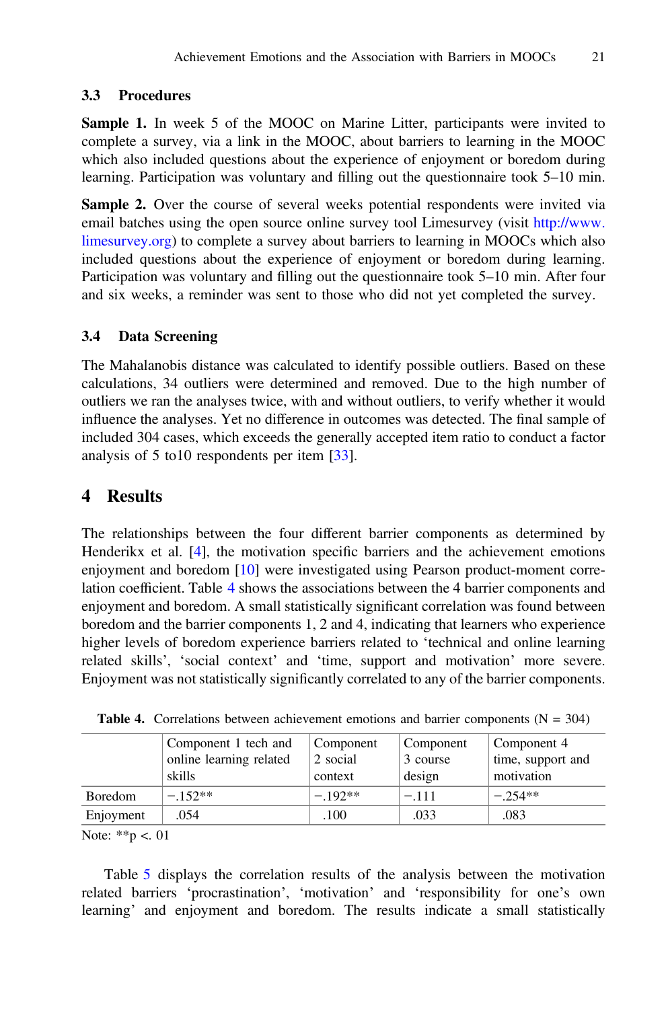## 3.3 Procedures

Sample 1. In week 5 of the MOOC on Marine Litter, participants were invited to complete a survey, via a link in the MOOC, about barriers to learning in the MOOC which also included questions about the experience of enjoyment or boredom during learning. Participation was voluntary and filling out the questionnaire took 5–10 min.

Sample 2. Over the course of several weeks potential respondents were invited via email batches using the open source online survey tool Limesurvey (visit http://www. limesurvey.org) to complete a survey about barriers to learning in MOOCs which also included questions about the experience of enjoyment or boredom during learning. Participation was voluntary and filling out the questionnaire took 5–10 min. After four and six weeks, a reminder was sent to those who did not yet completed the survey.

#### 3.4 Data Screening

The Mahalanobis distance was calculated to identify possible outliers. Based on these calculations, 34 outliers were determined and removed. Due to the high number of outliers we ran the analyses twice, with and without outliers, to verify whether it would influence the analyses. Yet no difference in outcomes was detected. The final sample of included 304 cases, which exceeds the generally accepted item ratio to conduct a factor analysis of 5 to10 respondents per item [33].

## 4 Results

The relationships between the four different barrier components as determined by Henderikx et al. [4], the motivation specific barriers and the achievement emotions enjoyment and boredom [10] were investigated using Pearson product-moment correlation coefficient. Table 4 shows the associations between the 4 barrier components and enjoyment and boredom. A small statistically significant correlation was found between boredom and the barrier components 1, 2 and 4, indicating that learners who experience higher levels of boredom experience barriers related to 'technical and online learning related skills', 'social context' and 'time, support and motivation' more severe. Enjoyment was not statistically significantly correlated to any of the barrier components.

| Component 1 tech and |                         | Component | Component | Component 4       |
|----------------------|-------------------------|-----------|-----------|-------------------|
|                      | online learning related | 2 social  | 3 course  | time, support and |
|                      | skills                  | context   | design    | motivation        |
| Boredom              | $-152**$                | $-192**$  | $-.111$   | $-.254**$         |
| Enjoyment            | .054                    | $.100\,$  | .033      | .083              |

**Table 4.** Correlations between achievement emotions and barrier components ( $N = 304$ )

Note: \*\*p <. 01

Table 5 displays the correlation results of the analysis between the motivation related barriers 'procrastination', 'motivation' and 'responsibility for one's own learning' and enjoyment and boredom. The results indicate a small statistically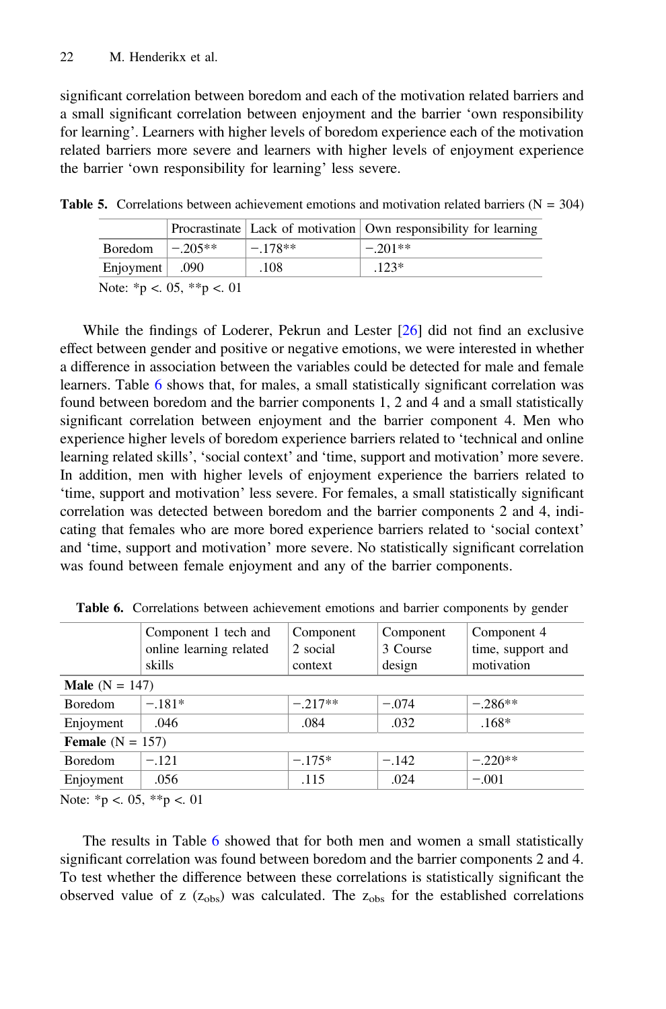significant correlation between boredom and each of the motivation related barriers and a small significant correlation between enjoyment and the barrier 'own responsibility for learning'. Learners with higher levels of boredom experience each of the motivation related barriers more severe and learners with higher levels of enjoyment experience the barrier 'own responsibility for learning' less severe.

|                                                  |  |          | Procrastinate Lack of motivation   Own responsibility for learning |
|--------------------------------------------------|--|----------|--------------------------------------------------------------------|
| Boredom $ -205** $                               |  | $-178**$ | $-.201**$                                                          |
| Enjoyment   .090                                 |  | .108     | $.123*$                                                            |
| $M_{\text{atm}}$ $*$ $\sim$ 05 $*$ $*$ $\sim$ 01 |  |          |                                                                    |

**Table 5.** Correlations between achievement emotions and motivation related barriers ( $N = 304$ )

Note: \*p <. 05, \*\*p <. 01

While the findings of Loderer, Pekrun and Lester [26] did not find an exclusive effect between gender and positive or negative emotions, we were interested in whether a difference in association between the variables could be detected for male and female learners. Table 6 shows that, for males, a small statistically significant correlation was found between boredom and the barrier components 1, 2 and 4 and a small statistically significant correlation between enjoyment and the barrier component 4. Men who experience higher levels of boredom experience barriers related to 'technical and online learning related skills', 'social context' and 'time, support and motivation' more severe. In addition, men with higher levels of enjoyment experience the barriers related to 'time, support and motivation' less severe. For females, a small statistically significant correlation was detected between boredom and the barrier components 2 and 4, indicating that females who are more bored experience barriers related to 'social context' and 'time, support and motivation' more severe. No statistically significant correlation was found between female enjoyment and any of the barrier components.

|                         | Component 1 tech and<br>online learning related | Component<br>2 social | Component<br>3 Course | Component 4<br>time, support and |
|-------------------------|-------------------------------------------------|-----------------------|-----------------------|----------------------------------|
|                         | skills                                          | context               | design                | motivation                       |
| <b>Male</b> $(N = 147)$ |                                                 |                       |                       |                                  |
| <b>Boredom</b>          | $-.181*$                                        | $-.217**$             | $-.074$               | $-.286**$                        |
| Enjoyment               | .046                                            | .084                  | .032                  | $.168*$                          |
| Female $(N = 157)$      |                                                 |                       |                       |                                  |
| <b>Boredom</b>          | $-.121$                                         | $-.175*$              | $-.142$               | $-.220**$                        |
| Enjoyment               | .056                                            | .115                  | .024                  | $-.001$                          |
|                         |                                                 |                       |                       |                                  |

Table 6. Correlations between achievement emotions and barrier components by gender

Note:  $*_{p} < 0.05$ ,  $*_{p} < 0.01$ 

The results in Table 6 showed that for both men and women a small statistically significant correlation was found between boredom and the barrier components 2 and 4. To test whether the difference between these correlations is statistically significant the observed value of z  $(z<sub>obs</sub>)$  was calculated. The  $z<sub>obs</sub>$  for the established correlations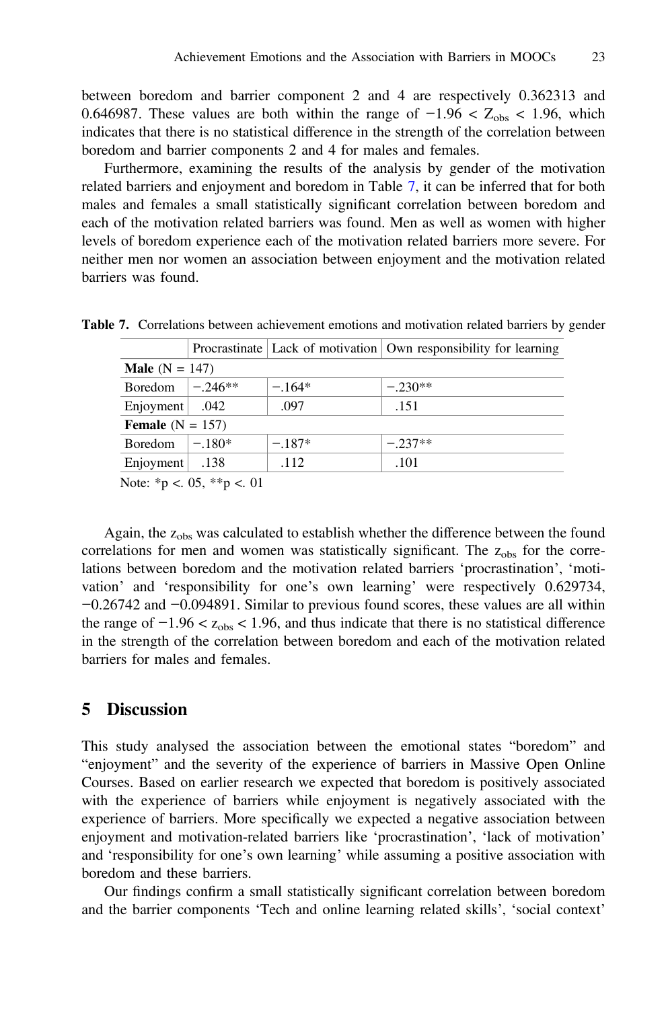between boredom and barrier component 2 and 4 are respectively 0.362313 and 0.646987. These values are both within the range of  $-1.96 < Z_{obs} < 1.96$ , which indicates that there is no statistical difference in the strength of the correlation between boredom and barrier components 2 and 4 for males and females.

Furthermore, examining the results of the analysis by gender of the motivation related barriers and enjoyment and boredom in Table 7, it can be inferred that for both males and females a small statistically significant correlation between boredom and each of the motivation related barriers was found. Men as well as women with higher levels of boredom experience each of the motivation related barriers more severe. For neither men nor women an association between enjoyment and the motivation related barriers was found.

|                    |                         |          | Procrastinate   Lack of motivation   Own responsibility for learning |  |  |  |
|--------------------|-------------------------|----------|----------------------------------------------------------------------|--|--|--|
|                    | <b>Male</b> $(N = 147)$ |          |                                                                      |  |  |  |
| Boredom            | $-.246**$               | $-.164*$ | $-.230**$                                                            |  |  |  |
| Enjoyment $ $      | .042                    | .097     | .151                                                                 |  |  |  |
| Female $(N = 157)$ |                         |          |                                                                      |  |  |  |
| Boredom            | $-.180*$                | $-.187*$ | $-237**$                                                             |  |  |  |
| Enjoyment          | .138                    | .112     | .101                                                                 |  |  |  |

Table 7. Correlations between achievement emotions and motivation related barriers by gender

Note:  $*_{p} < 0.05$ ,  $*_{p} < 0.01$ 

Again, the  $z<sub>obs</sub>$  was calculated to establish whether the difference between the found correlations for men and women was statistically significant. The  $z<sub>obs</sub>$  for the correlations between boredom and the motivation related barriers 'procrastination', 'motivation' and 'responsibility for one's own learning' were respectively 0.629734, −0.26742 and −0.094891. Similar to previous found scores, these values are all within the range of  $-1.96 < z<sub>obs</sub> < 1.96$ , and thus indicate that there is no statistical difference in the strength of the correlation between boredom and each of the motivation related barriers for males and females.

## 5 Discussion

This study analysed the association between the emotional states "boredom" and "enjoyment" and the severity of the experience of barriers in Massive Open Online Courses. Based on earlier research we expected that boredom is positively associated with the experience of barriers while enjoyment is negatively associated with the experience of barriers. More specifically we expected a negative association between enjoyment and motivation-related barriers like 'procrastination', 'lack of motivation' and 'responsibility for one's own learning' while assuming a positive association with boredom and these barriers.

Our findings confirm a small statistically significant correlation between boredom and the barrier components 'Tech and online learning related skills', 'social context'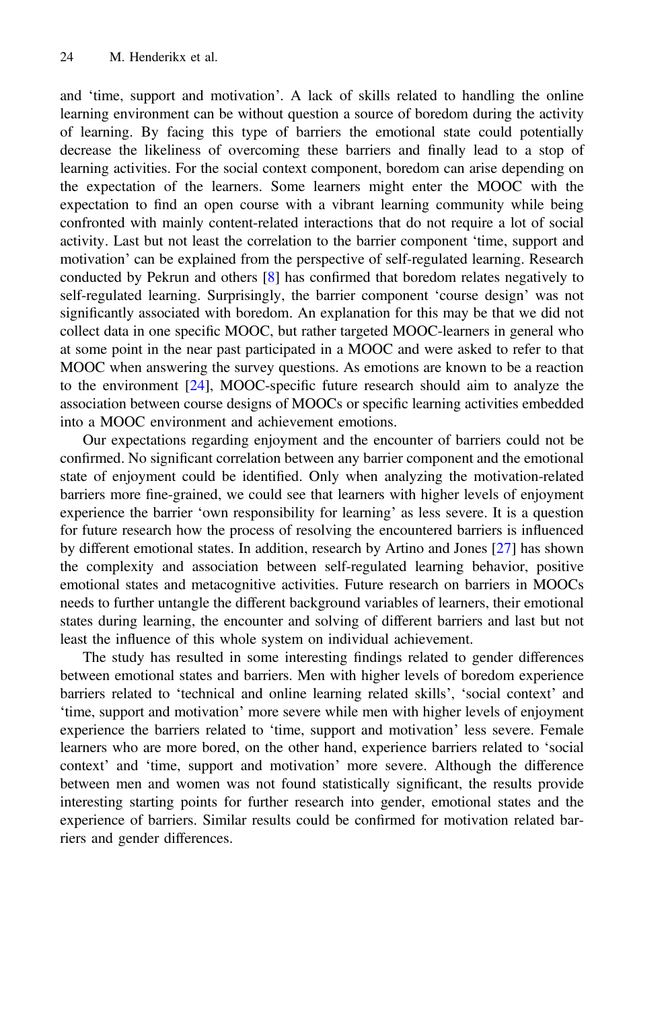and 'time, support and motivation'. A lack of skills related to handling the online learning environment can be without question a source of boredom during the activity of learning. By facing this type of barriers the emotional state could potentially decrease the likeliness of overcoming these barriers and finally lead to a stop of learning activities. For the social context component, boredom can arise depending on the expectation of the learners. Some learners might enter the MOOC with the expectation to find an open course with a vibrant learning community while being confronted with mainly content-related interactions that do not require a lot of social activity. Last but not least the correlation to the barrier component 'time, support and motivation' can be explained from the perspective of self-regulated learning. Research conducted by Pekrun and others [8] has confirmed that boredom relates negatively to self-regulated learning. Surprisingly, the barrier component 'course design' was not significantly associated with boredom. An explanation for this may be that we did not collect data in one specific MOOC, but rather targeted MOOC-learners in general who at some point in the near past participated in a MOOC and were asked to refer to that MOOC when answering the survey questions. As emotions are known to be a reaction to the environment [24], MOOC-specific future research should aim to analyze the association between course designs of MOOCs or specific learning activities embedded into a MOOC environment and achievement emotions.

Our expectations regarding enjoyment and the encounter of barriers could not be confirmed. No significant correlation between any barrier component and the emotional state of enjoyment could be identified. Only when analyzing the motivation-related barriers more fine-grained, we could see that learners with higher levels of enjoyment experience the barrier 'own responsibility for learning' as less severe. It is a question for future research how the process of resolving the encountered barriers is influenced by different emotional states. In addition, research by Artino and Jones [27] has shown the complexity and association between self-regulated learning behavior, positive emotional states and metacognitive activities. Future research on barriers in MOOCs needs to further untangle the different background variables of learners, their emotional states during learning, the encounter and solving of different barriers and last but not least the influence of this whole system on individual achievement.

The study has resulted in some interesting findings related to gender differences between emotional states and barriers. Men with higher levels of boredom experience barriers related to 'technical and online learning related skills', 'social context' and 'time, support and motivation' more severe while men with higher levels of enjoyment experience the barriers related to 'time, support and motivation' less severe. Female learners who are more bored, on the other hand, experience barriers related to 'social context' and 'time, support and motivation' more severe. Although the difference between men and women was not found statistically significant, the results provide interesting starting points for further research into gender, emotional states and the experience of barriers. Similar results could be confirmed for motivation related barriers and gender differences.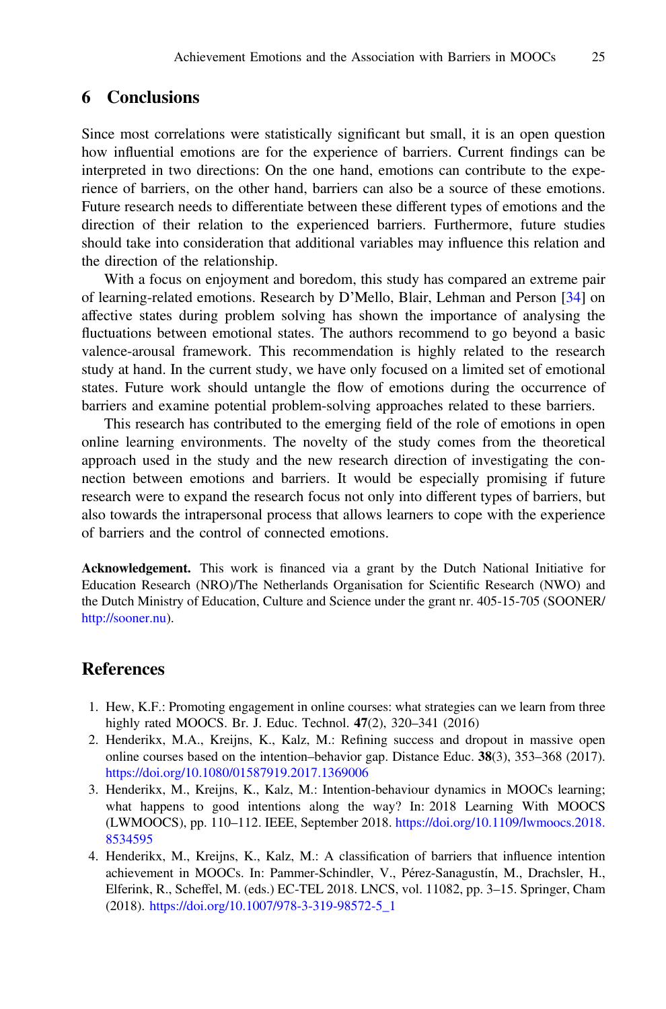## 6 Conclusions

Since most correlations were statistically significant but small, it is an open question how influential emotions are for the experience of barriers. Current findings can be interpreted in two directions: On the one hand, emotions can contribute to the experience of barriers, on the other hand, barriers can also be a source of these emotions. Future research needs to differentiate between these different types of emotions and the direction of their relation to the experienced barriers. Furthermore, future studies should take into consideration that additional variables may influence this relation and the direction of the relationship.

With a focus on enjoyment and boredom, this study has compared an extreme pair of learning-related emotions. Research by D'Mello, Blair, Lehman and Person [34] on affective states during problem solving has shown the importance of analysing the fluctuations between emotional states. The authors recommend to go beyond a basic valence-arousal framework. This recommendation is highly related to the research study at hand. In the current study, we have only focused on a limited set of emotional states. Future work should untangle the flow of emotions during the occurrence of barriers and examine potential problem-solving approaches related to these barriers.

This research has contributed to the emerging field of the role of emotions in open online learning environments. The novelty of the study comes from the theoretical approach used in the study and the new research direction of investigating the connection between emotions and barriers. It would be especially promising if future research were to expand the research focus not only into different types of barriers, but also towards the intrapersonal process that allows learners to cope with the experience of barriers and the control of connected emotions.

Acknowledgement. This work is financed via a grant by the Dutch National Initiative for Education Research (NRO)/The Netherlands Organisation for Scientific Research (NWO) and the Dutch Ministry of Education, Culture and Science under the grant nr. 405-15-705 (SOONER/ http://sooner.nu).

## References

- 1. Hew, K.F.: Promoting engagement in online courses: what strategies can we learn from three highly rated MOOCS. Br. J. Educ. Technol. 47(2), 320–341 (2016)
- 2. Henderikx, M.A., Kreijns, K., Kalz, M.: Refining success and dropout in massive open online courses based on the intention–behavior gap. Distance Educ. 38(3), 353–368 (2017). https://doi.org/10.1080/01587919.2017.1369006
- 3. Henderikx, M., Kreijns, K., Kalz, M.: Intention-behaviour dynamics in MOOCs learning; what happens to good intentions along the way? In: 2018 Learning With MOOCS (LWMOOCS), pp. 110–112. IEEE, September 2018. https://doi.org/10.1109/lwmoocs.2018. 8534595
- 4. Henderikx, M., Kreijns, K., Kalz, M.: A classification of barriers that influence intention achievement in MOOCs. In: Pammer-Schindler, V., Pérez-Sanagustín, M., Drachsler, H., Elferink, R., Scheffel, M. (eds.) EC-TEL 2018. LNCS, vol. 11082, pp. 3–15. Springer, Cham (2018). https://doi.org/10.1007/978-3-319-98572-5\_1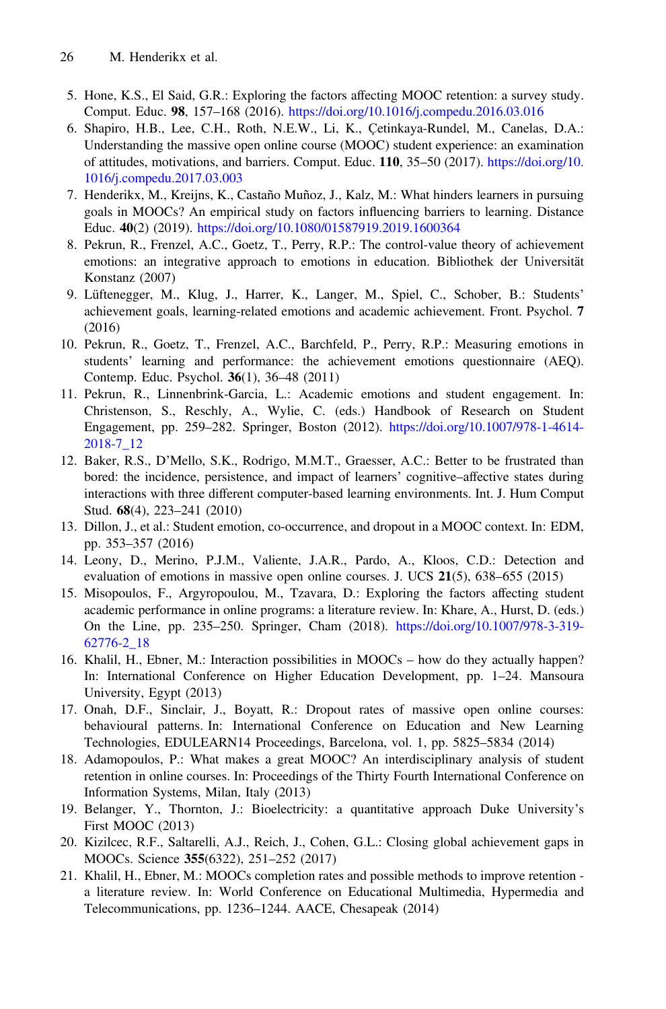- 5. Hone, K.S., El Said, G.R.: Exploring the factors affecting MOOC retention: a survey study. Comput. Educ. 98, 157–168 (2016). https://doi.org/10.1016/j.compedu.2016.03.016
- 6. Shapiro, H.B., Lee, C.H., Roth, N.E.W., Li, K., Çetinkaya-Rundel, M., Canelas, D.A.: Understanding the massive open online course (MOOC) student experience: an examination of attitudes, motivations, and barriers. Comput. Educ. 110, 35–50 (2017). https://doi.org/10. 1016/j.compedu.2017.03.003
- 7. Henderikx, M., Kreijns, K., Castaño Muñoz, J., Kalz, M.: What hinders learners in pursuing goals in MOOCs? An empirical study on factors influencing barriers to learning. Distance Educ. 40(2) (2019). https://doi.org/10.1080/01587919.2019.1600364
- 8. Pekrun, R., Frenzel, A.C., Goetz, T., Perry, R.P.: The control-value theory of achievement emotions: an integrative approach to emotions in education. Bibliothek der Universität Konstanz (2007)
- 9. Lüftenegger, M., Klug, J., Harrer, K., Langer, M., Spiel, C., Schober, B.: Students' achievement goals, learning-related emotions and academic achievement. Front. Psychol. 7 (2016)
- 10. Pekrun, R., Goetz, T., Frenzel, A.C., Barchfeld, P., Perry, R.P.: Measuring emotions in students' learning and performance: the achievement emotions questionnaire (AEQ). Contemp. Educ. Psychol. 36(1), 36–48 (2011)
- 11. Pekrun, R., Linnenbrink-Garcia, L.: Academic emotions and student engagement. In: Christenson, S., Reschly, A., Wylie, C. (eds.) Handbook of Research on Student Engagement, pp. 259–282. Springer, Boston (2012). https://doi.org/10.1007/978-1-4614- 2018-7\_12
- 12. Baker, R.S., D'Mello, S.K., Rodrigo, M.M.T., Graesser, A.C.: Better to be frustrated than bored: the incidence, persistence, and impact of learners' cognitive–affective states during interactions with three different computer-based learning environments. Int. J. Hum Comput Stud. 68(4), 223–241 (2010)
- 13. Dillon, J., et al.: Student emotion, co-occurrence, and dropout in a MOOC context. In: EDM, pp. 353–357 (2016)
- 14. Leony, D., Merino, P.J.M., Valiente, J.A.R., Pardo, A., Kloos, C.D.: Detection and evaluation of emotions in massive open online courses. J. UCS 21(5), 638–655 (2015)
- 15. Misopoulos, F., Argyropoulou, M., Tzavara, D.: Exploring the factors affecting student academic performance in online programs: a literature review. In: Khare, A., Hurst, D. (eds.) On the Line, pp. 235–250. Springer, Cham (2018). https://doi.org/10.1007/978-3-319- 62776-2\_18
- 16. Khalil, H., Ebner, M.: Interaction possibilities in MOOCs how do they actually happen? In: International Conference on Higher Education Development, pp. 1–24. Mansoura University, Egypt (2013)
- 17. Onah, D.F., Sinclair, J., Boyatt, R.: Dropout rates of massive open online courses: behavioural patterns. In: International Conference on Education and New Learning Technologies, EDULEARN14 Proceedings, Barcelona, vol. 1, pp. 5825–5834 (2014)
- 18. Adamopoulos, P.: What makes a great MOOC? An interdisciplinary analysis of student retention in online courses. In: Proceedings of the Thirty Fourth International Conference on Information Systems, Milan, Italy (2013)
- 19. Belanger, Y., Thornton, J.: Bioelectricity: a quantitative approach Duke University's First MOOC (2013)
- 20. Kizilcec, R.F., Saltarelli, A.J., Reich, J., Cohen, G.L.: Closing global achievement gaps in MOOCs. Science 355(6322), 251–252 (2017)
- 21. Khalil, H., Ebner, M.: MOOCs completion rates and possible methods to improve retention a literature review. In: World Conference on Educational Multimedia, Hypermedia and Telecommunications, pp. 1236–1244. AACE, Chesapeak (2014)